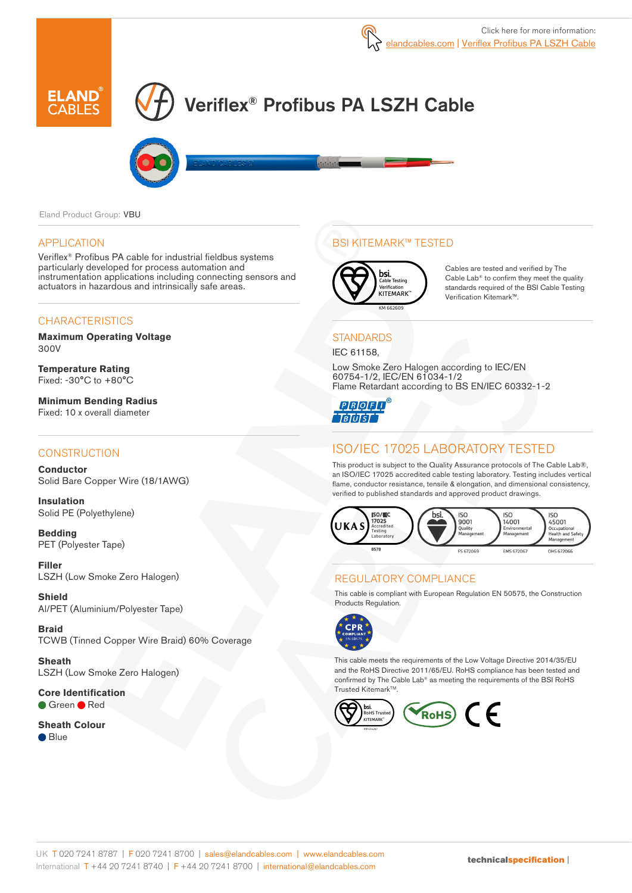

# Veriflex® Profibus PA LSZH Cable



Eland Product Group: VBU

#### APPLICATION

Veriflex® Profibus PA cable for industrial fieldbus systems particularly developed for process automation and instrumentation applications including connecting sensors and actuators in hazardous and intrinsically safe areas.

## **CHARACTERISTICS**

**Maximum Operating Voltage**  300V

**Temperature Rating** Fixed: -30°C to +80°C

**Minimum Bending Radius**  Fixed: 10 x overall diameter

## **CONSTRUCTION**

**Conductor** Solid Bare Copper Wire (18/1AWG)

**Insulation** Solid PE (Polyethylene)

**Bedding** PET (Polyester Tape)

**Filler** LSZH (Low Smoke Zero Halogen)

**Shield** Al/PET (Aluminium/Polyester Tape)

**Braid** TCWB (Tinned Copper Wire Braid) 60% Coverage

**Sheath** LSZH (Low Smoke Zero Halogen)

**Core Identification** ● Green ● Red

**Sheath Colour** ● Blue

## BSI KITEMARK™ TESTED



Cables are tested and verified by The Cable Lab® to confirm they meet the quality standards required of the BSI Cable Testing Verification Kitemark™.

**STANDARDS** IEC 61158,

Low Smoke Zero Halogen according to IEC/EN 60754-1/2, IEC/EN 61034-1/2 Flame Retardant according to BS EN/IEC 60332-1-2

**QQQQQ TBTUTST** 

# ISO/IEC 17025 LABORATORY TESTED

This product is subject to the Quality Assurance protocols of The Cable Lab®, an ISO/IEC 17025 accredited cable testing laboratory. Testing includes vertical flame, conductor resistance, tensile & elongation, and dimensional consistency, verified to published standards and approved product drawings.



## REGULATORY COMPLIANCE

This cable is compliant with European Regulation EN 50575, the Construction Products Regulation.



This cable meets the requirements of the Low Voltage Directive 2014/35/EU and the RoHS Directive 2011/65/EU. RoHS compliance has been tested and confirmed by The Cable Lab® as meeting the requirements of the BSI RoHS Trusted Kitemark<sup>™</sup>.